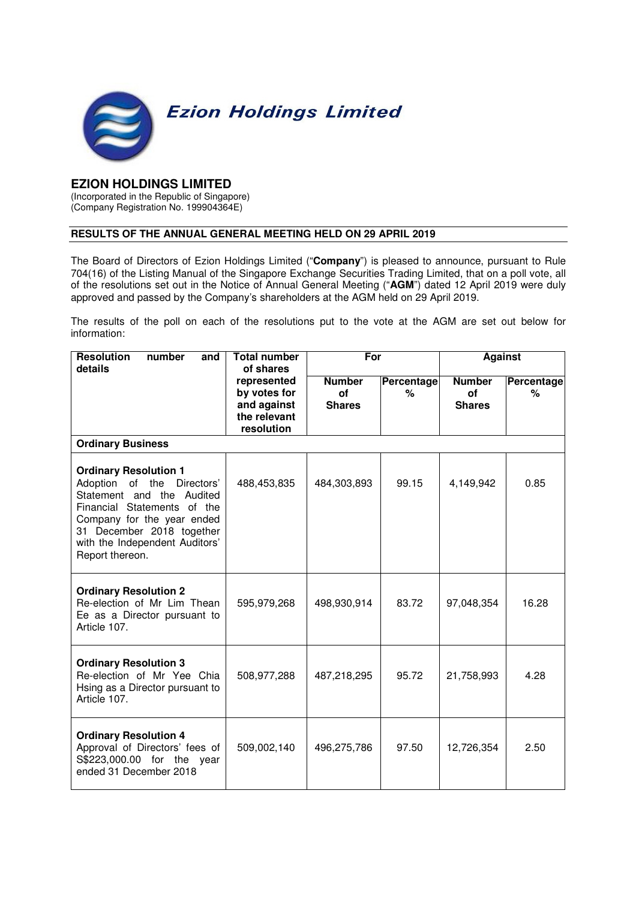

## **EZION HOLDINGS LIMITED**

(Incorporated in the Republic of Singapore) (Company Registration No. 199904364E)

## **RESULTS OF THE ANNUAL GENERAL MEETING HELD ON 29 APRIL 2019**

The Board of Directors of Ezion Holdings Limited ("**Company**") is pleased to announce, pursuant to Rule 704(16) of the Listing Manual of the Singapore Exchange Securities Trading Limited, that on a poll vote, all of the resolutions set out in the Notice of Annual General Meeting ("**AGM**") dated 12 April 2019 were duly approved and passed by the Company's shareholders at the AGM held on 29 April 2019.

The results of the poll on each of the resolutions put to the vote at the AGM are set out below for information:

| <b>Resolution</b><br>number<br>and<br>details                                                                                                                                                                                          | <b>Total number</b><br>of shares                                         | For                                         |                 | <b>Against</b>                              |                 |  |  |  |
|----------------------------------------------------------------------------------------------------------------------------------------------------------------------------------------------------------------------------------------|--------------------------------------------------------------------------|---------------------------------------------|-----------------|---------------------------------------------|-----------------|--|--|--|
|                                                                                                                                                                                                                                        | represented<br>by votes for<br>and against<br>the relevant<br>resolution | <b>Number</b><br><b>of</b><br><b>Shares</b> | Percentage<br>% | <b>Number</b><br><b>of</b><br><b>Shares</b> | Percentage<br>℅ |  |  |  |
| <b>Ordinary Business</b>                                                                                                                                                                                                               |                                                                          |                                             |                 |                                             |                 |  |  |  |
| <b>Ordinary Resolution 1</b><br>Adoption of the Directors'<br>Statement and the Audited<br>Financial Statements of the<br>Company for the year ended<br>31 December 2018 together<br>with the Independent Auditors'<br>Report thereon. | 488,453,835                                                              | 484,303,893                                 | 99.15           | 4,149,942                                   | 0.85            |  |  |  |
| <b>Ordinary Resolution 2</b><br>Re-election of Mr Lim Thean<br>Ee as a Director pursuant to<br>Article 107.                                                                                                                            | 595,979,268                                                              | 498,930,914                                 | 83.72           | 97,048,354                                  | 16.28           |  |  |  |
| <b>Ordinary Resolution 3</b><br>Re-election of Mr Yee Chia<br>Hsing as a Director pursuant to<br>Article 107.                                                                                                                          | 508,977,288                                                              | 487,218,295                                 | 95.72           | 21,758,993                                  | 4.28            |  |  |  |
| <b>Ordinary Resolution 4</b><br>Approval of Directors' fees of<br>S\$223,000.00 for the year<br>ended 31 December 2018                                                                                                                 | 509,002,140                                                              | 496,275,786                                 | 97.50           | 12,726,354                                  | 2.50            |  |  |  |